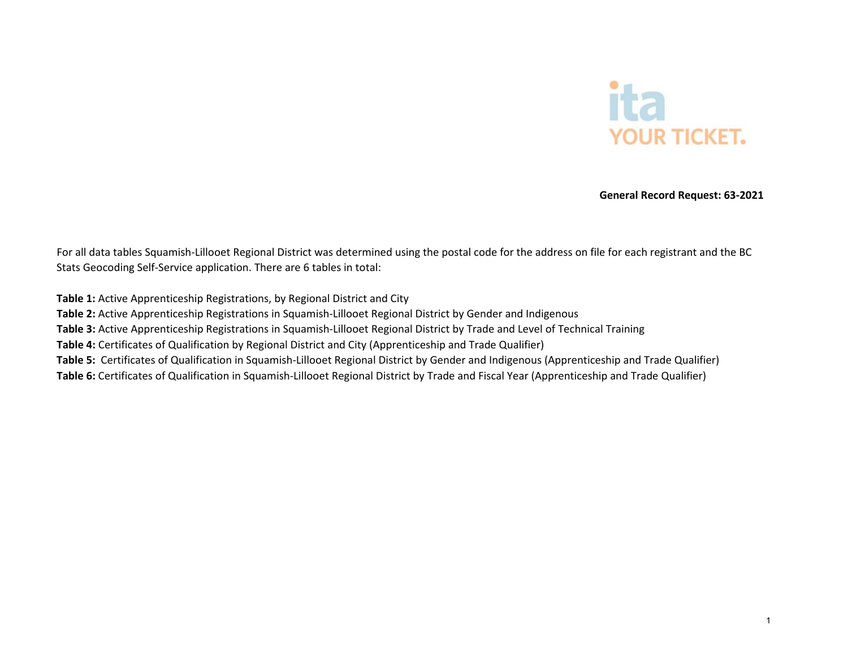

**General Record Request: 63‐2021**

For all data tables Squamish‐Lillooet Regional District was determined using the postal code for the address on file for each registrant and the BC Stats Geocoding Self‐Service application. There are 6 tables in total:

**Table 1:** Active Apprenticeship Registrations, by Regional District and City **Table 2:** Active Apprenticeship Registrations in Squamish‐Lillooet Regional District by Gender and Indigenous **Table 3:** Active Apprenticeship Registrations in Squamish‐Lillooet Regional District by Trade and Level of Technical Training **Table 4:** Certificates of Qualification by Regional District and City (Apprenticeship and Trade Qualifier) **Table 5:** Certificates of Qualification in Squamish‐Lillooet Regional District by Gender and Indigenous (Apprenticeship and Trade Qualifier) **Table 6:** Certificates of Qualification in Squamish‐Lillooet Regional District by Trade and Fiscal Year (Apprenticeship and Trade Qualifier)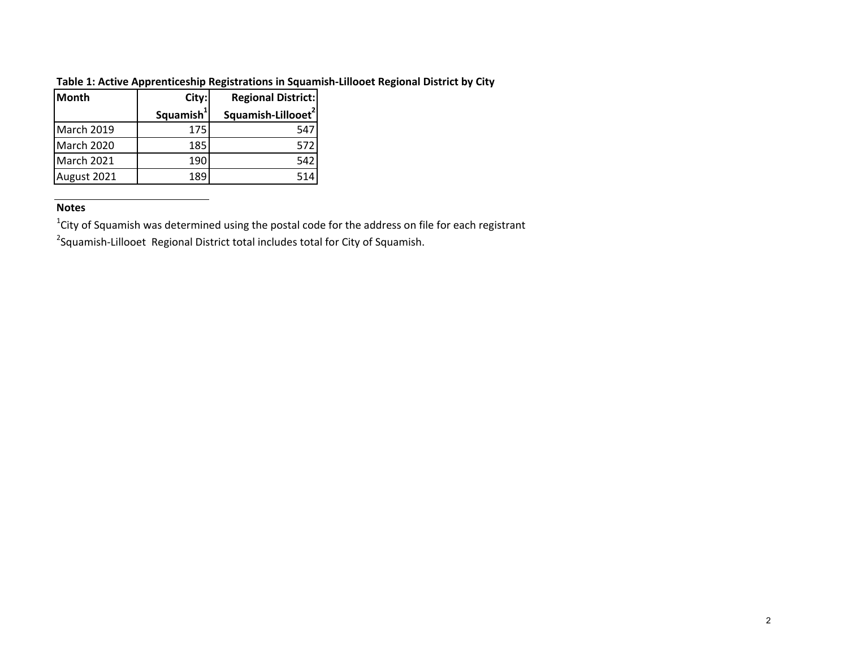| lMonth      | City:                 | <b>Regional District:</b>      |
|-------------|-----------------------|--------------------------------|
|             | Squamish <sup>1</sup> | Squamish-Lillooet <sup>2</sup> |
| March 2019  | 175                   | 547                            |
| March 2020  | 185                   | 572                            |
| March 2021  | 190                   | 542                            |
| August 2021 | 189                   | 514                            |

### **Table 1: Active Apprenticeship Registrations in Squamish‐Lillooet Regional District by City**

#### **Notes**

 $1$ City of Squamish was determined using the postal code for the address on file for each registrant

<sup>2</sup>Squamish-Lillooet Regional District total includes total for City of Squamish.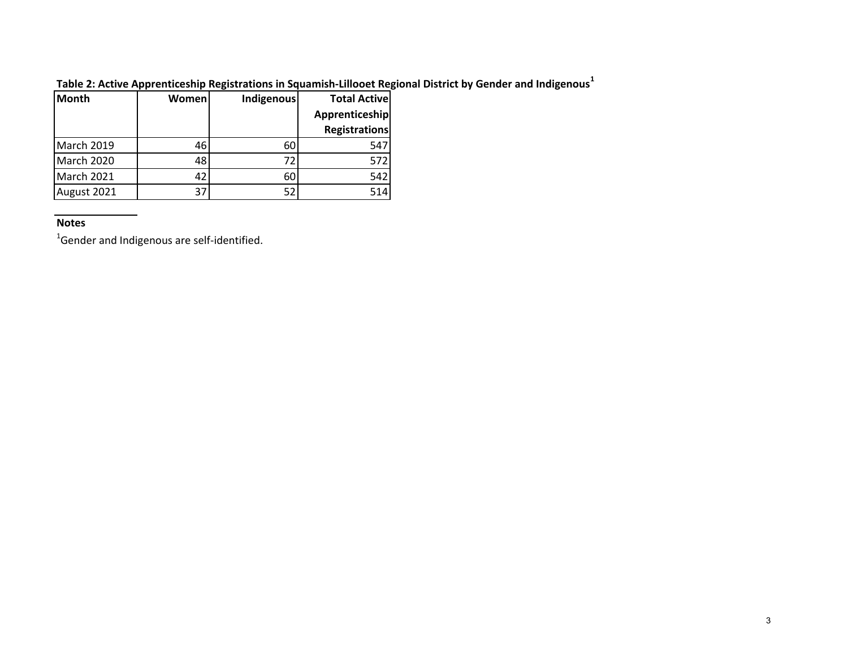| <b>Month</b> | Womenl | Indigenous | <b>Total Active</b>  |
|--------------|--------|------------|----------------------|
|              |        |            | Apprenticeship       |
|              |        |            | <b>Registrations</b> |
| March 2019   | 46     | 60         | 547                  |
| March 2020   | 48     | 72         | 572                  |
| March 2021   | 42     | 60         | 542                  |
| August 2021  | 37     | 52         | 514                  |

**Table 2: Active Apprenticeship Registrations in Squamish‐Lillooet Regional District by Gender and Indigenous<sup>1</sup>**

#### **Notes**

 $^{1}$ Gender and Indigenous are self-identified.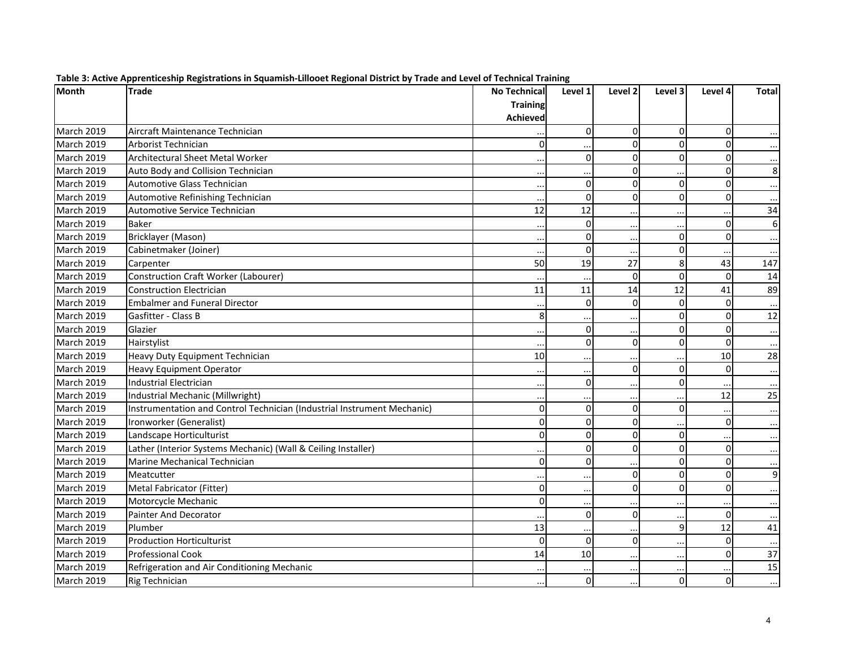| Month             | <b>Trade</b>                                                            | <b>No Technical</b> | Level 1              | Level 2      | Level 3     | Level 4      | <b>Total</b> |
|-------------------|-------------------------------------------------------------------------|---------------------|----------------------|--------------|-------------|--------------|--------------|
|                   |                                                                         | <b>Training</b>     |                      |              |             |              |              |
|                   |                                                                         | <b>Achieved</b>     |                      |              |             |              |              |
| March 2019        | Aircraft Maintenance Technician                                         |                     | $\Omega$             | $\Omega$     | $\Omega$    | $\mathbf{0}$ |              |
| <b>March 2019</b> | Arborist Technician                                                     | $\Omega$            |                      | $\mathbf 0$  | $\Omega$    | $\Omega$     |              |
| March 2019        | <b>Architectural Sheet Metal Worker</b>                                 |                     | $\Omega$             | $\Omega$     | $\mathbf 0$ | $\Omega$     |              |
| March 2019        | Auto Body and Collision Technician                                      |                     |                      | $\Omega$     |             | $\Omega$     | 8            |
| <b>March 2019</b> | Automotive Glass Technician                                             |                     | $\Omega$             | $\mathbf{0}$ | $\mathbf 0$ | $\Omega$     |              |
| <b>March 2019</b> | Automotive Refinishing Technician                                       |                     | $\Omega$             | 0            | $\Omega$    | $\Omega$     |              |
| March 2019        | Automotive Service Technician                                           | 12                  | 12                   |              |             |              | 34           |
| March 2019        | <b>Baker</b>                                                            |                     | $\Omega$             |              |             | $\Omega$     |              |
| March 2019        | Bricklayer (Mason)                                                      |                     | 0                    |              | $\mathbf 0$ | $\Omega$     |              |
| March 2019        | Cabinetmaker (Joiner)                                                   |                     | $\Omega$             |              | $\pmb{0}$   |              |              |
| March 2019        | Carpenter                                                               | 50                  | 19                   | 27           | 8           | 43           | 147          |
| March 2019        | <b>Construction Craft Worker (Labourer)</b>                             |                     |                      | $\Omega$     | $\Omega$    | $\Omega$     | 14           |
| March 2019        | <b>Construction Electrician</b>                                         | 11                  | 11                   | 14           | 12          | 41           | 89           |
| March 2019        | <b>Embalmer and Funeral Director</b>                                    |                     | $\Omega$             | $\Omega$     | $\Omega$    | $\Omega$     |              |
| March 2019        | Gasfitter - Class B                                                     | 8                   |                      |              | $\mathbf 0$ | $\Omega$     | 12           |
| March 2019        | Glazier                                                                 |                     | $\Omega$             |              | $\mathbf 0$ | $\Omega$     |              |
| March 2019        | Hairstylist                                                             |                     | $\Omega$             | 0            | $\mathbf 0$ | $\Omega$     |              |
| March 2019        | Heavy Duty Equipment Technician                                         | 10                  |                      |              |             | 10           | 28           |
| March 2019        | <b>Heavy Equipment Operator</b>                                         |                     |                      | $\Omega$     | $\mathbf 0$ | $\Omega$     |              |
| <b>March 2019</b> | <b>Industrial Electrician</b>                                           |                     | $\Omega$             |              | $\mathbf 0$ |              |              |
| March 2019        | Industrial Mechanic (Millwright)                                        |                     |                      |              |             | 12           | 25           |
| March 2019        | Instrumentation and Control Technician (Industrial Instrument Mechanic) | 0                   | $\Omega$             | 0            | $\mathbf 0$ |              |              |
| March 2019        | Ironworker (Generalist)                                                 | $\mathbf{0}$        | 0                    | $\Omega$     |             | $\mathbf{0}$ |              |
| <b>March 2019</b> | Landscape Horticulturist                                                | $\mathbf 0$         | $\Omega$             | $\mathbf{0}$ | $\Omega$    |              |              |
| <b>March 2019</b> | Lather (Interior Systems Mechanic) (Wall & Ceiling Installer)           |                     | 0                    | $\mathbf{0}$ | $\Omega$    | $\Omega$     |              |
| March 2019        | Marine Mechanical Technician                                            | 0                   | $\Omega$             |              | $\mathbf 0$ | $\Omega$     |              |
| March 2019        | Meatcutter                                                              |                     | $\cdot$ .            | $\mathbf{0}$ | $\Omega$    | $\Omega$     | 9            |
| <b>March 2019</b> | Metal Fabricator (Fitter)                                               | 0                   | $\ddot{\phantom{0}}$ | $\mathbf 0$  | $\Omega$    | $\Omega$     |              |
| March 2019        | Motorcycle Mechanic                                                     | $\mathbf 0$         |                      |              |             |              |              |
| March 2019        | Painter And Decorator                                                   |                     | $\Omega$             | $\mathbf 0$  |             | $\mathbf 0$  |              |
| March 2019        | Plumber                                                                 | 13                  |                      |              | 9           | 12           | 41           |
| March 2019        | <b>Production Horticulturist</b>                                        | $\mathbf 0$         | $\Omega$             | 0            | $\ddotsc$   | $\mathbf 0$  |              |
| March 2019        | <b>Professional Cook</b>                                                | 14                  | 10                   |              | $\ddotsc$   | $\Omega$     | 37           |
| <b>March 2019</b> | Refrigeration and Air Conditioning Mechanic                             |                     |                      |              |             |              | 15           |
| March 2019        | <b>Rig Technician</b>                                                   |                     | ΟI                   | $\ddotsc$    | $\mathbf 0$ | $\Omega$     | $\cdots$     |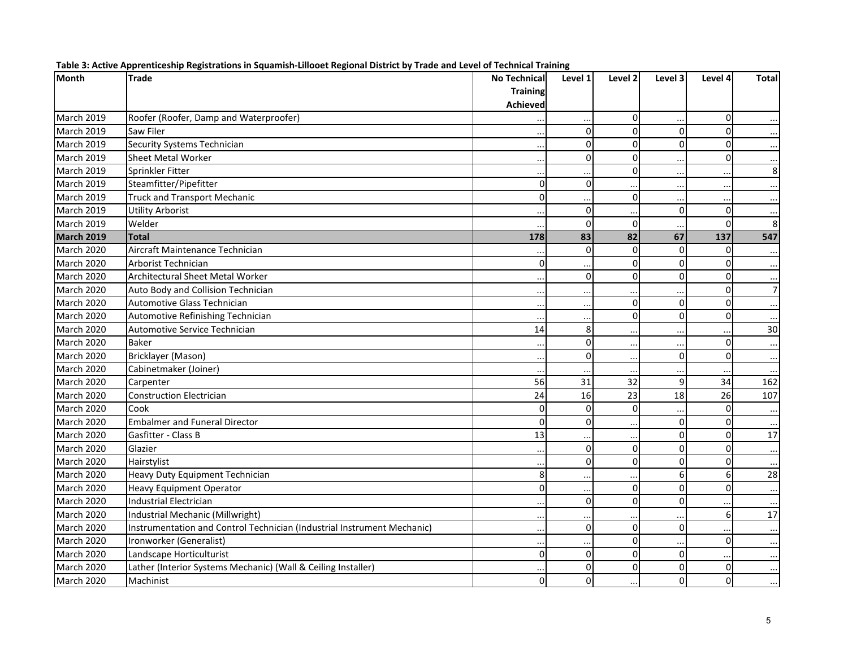| <b>Month</b>      | <b>Trade</b>                                                            | <b>No Technical</b> | Level 1              | Level 2      | Level 3        | Level 4        | <b>Total</b>   |
|-------------------|-------------------------------------------------------------------------|---------------------|----------------------|--------------|----------------|----------------|----------------|
|                   |                                                                         | <b>Training</b>     |                      |              |                |                |                |
|                   |                                                                         | <b>Achieved</b>     |                      |              |                |                |                |
| March 2019        | Roofer (Roofer, Damp and Waterproofer)                                  |                     | $\ddot{\phantom{a}}$ | 0            | $\ddots$       | $\overline{0}$ |                |
| <b>March 2019</b> | Saw Filer                                                               |                     | $\Omega$             | $\Omega$     | $\Omega$       | $\Omega$       |                |
| March 2019        | Security Systems Technician                                             |                     | $\Omega$             | $\mathbf 0$  | $\mathbf 0$    | $\Omega$       |                |
| March 2019        | <b>Sheet Metal Worker</b>                                               |                     | $\Omega$             | $\mathbf{0}$ | $\ddots$       | $\Omega$       |                |
| March 2019        | Sprinkler Fitter                                                        |                     |                      | $\mathbf{0}$ | $\ddotsc$      |                | 8              |
| March 2019        | Steamfitter/Pipefitter                                                  | 0                   | $\Omega$             |              | $\ddotsc$      |                |                |
| March 2019        | <b>Truck and Transport Mechanic</b>                                     | 0                   |                      | $\Omega$     | $\ddotsc$      |                |                |
| <b>March 2019</b> | <b>Utility Arborist</b>                                                 |                     | $\Omega$             |              | $\mathbf 0$    | $\Omega$       |                |
| <b>March 2019</b> | Welder                                                                  |                     | $\Omega$             | $\mathbf 0$  |                | $\Omega$       | 8              |
| <b>March 2019</b> | <b>Total</b>                                                            | 178                 | 83                   | 82           | 67             | 137            | 547            |
| March 2020        | Aircraft Maintenance Technician                                         |                     | $\Omega$             | $\Omega$     | $\mathbf 0$    | $\Omega$       |                |
| March 2020        | Arborist Technician                                                     | 0                   |                      | 0            | $\mathbf 0$    | $\Omega$       |                |
| March 2020        | Architectural Sheet Metal Worker                                        |                     | $\Omega$             | $\mathbf{0}$ | $\Omega$       | $\Omega$       |                |
| March 2020        | Auto Body and Collision Technician                                      |                     | $\cdot$ .            |              | $\ddotsc$      | $\Omega$       | $\overline{7}$ |
| March 2020        | Automotive Glass Technician                                             |                     | $\ddot{\phantom{a}}$ | $\mathbf 0$  | $\mathbf 0$    | $\Omega$       |                |
| March 2020        | Automotive Refinishing Technician                                       |                     |                      | $\Omega$     | $\Omega$       | $\Omega$       |                |
| March 2020        | Automotive Service Technician                                           | 14                  | 8                    |              | $\ddotsc$      |                | 30             |
| March 2020        | <b>Baker</b>                                                            |                     | $\Omega$             |              | $\ddotsc$      | $\Omega$       |                |
| <b>March 2020</b> | Bricklayer (Mason)                                                      |                     | $\Omega$             |              | $\mathbf 0$    | $\Omega$       |                |
| March 2020        | Cabinetmaker (Joiner)                                                   |                     |                      |              | $\ddotsc$      |                |                |
| March 2020        | Carpenter                                                               | 56                  | 31                   | 32           | 9              | 34             | 162            |
| March 2020        | <b>Construction Electrician</b>                                         | 24                  | 16                   | 23           | 18             | 26             | 107            |
| March 2020        | Cook                                                                    | 0                   | $\Omega$             | $\mathbf 0$  |                | $\Omega$       |                |
| March 2020        | <b>Embalmer and Funeral Director</b>                                    | $\Omega$            | $\Omega$             |              | 0              | $\Omega$       |                |
| March 2020        | Gasfitter - Class B                                                     | 13                  | $\ddot{\phantom{a}}$ | $\ddotsc$    | $\mathbf 0$    | $\Omega$       | 17             |
| March 2020        | Glazier                                                                 |                     | $\Omega$             | $\mathbf{0}$ | $\Omega$       | $\Omega$       |                |
| March 2020        | Hairstylist                                                             |                     | $\Omega$             | $\Omega$     | $\mathbf 0$    | $\Omega$       |                |
| March 2020        | Heavy Duty Equipment Technician                                         | 8                   |                      |              | 6              | 6              | 28             |
| March 2020        | <b>Heavy Equipment Operator</b>                                         | 0                   | $\ddot{\phantom{a}}$ | 0            | $\Omega$       | $\Omega$       |                |
| March 2020        | Industrial Electrician                                                  |                     | $\Omega$             | $\mathbf{0}$ | $\mathbf 0$    |                |                |
| March 2020        | Industrial Mechanic (Millwright)                                        | $\cdot$ .           | $\ddot{\phantom{0}}$ |              | $\ddotsc$      | 6              | 17             |
| March 2020        | Instrumentation and Control Technician (Industrial Instrument Mechanic) |                     | $\Omega$             | $\Omega$     | $\overline{0}$ |                |                |
| March 2020        | Ironworker (Generalist)                                                 |                     |                      | $\Omega$     | $\ddotsc$      | $\Omega$       |                |
| March 2020        | Landscape Horticulturist                                                | 0                   | 0                    | $\Omega$     | $\mathbf 0$    |                |                |
| March 2020        | Lather (Interior Systems Mechanic) (Wall & Ceiling Installer)           |                     | ΩI                   | $\Omega$     | $\Omega$       | $\Omega$       |                |
| <b>March 2020</b> | Machinist                                                               | 0                   | <sub>0</sub>         | $\ddotsc$    | $\mathbf 0$    | $\Omega$       | $\cdots$       |

|  |  | Table 3: Active Apprenticeship Registrations in Squamish-Lillooet Regional District by Trade and Level of Technical Training |
|--|--|------------------------------------------------------------------------------------------------------------------------------|
|  |  |                                                                                                                              |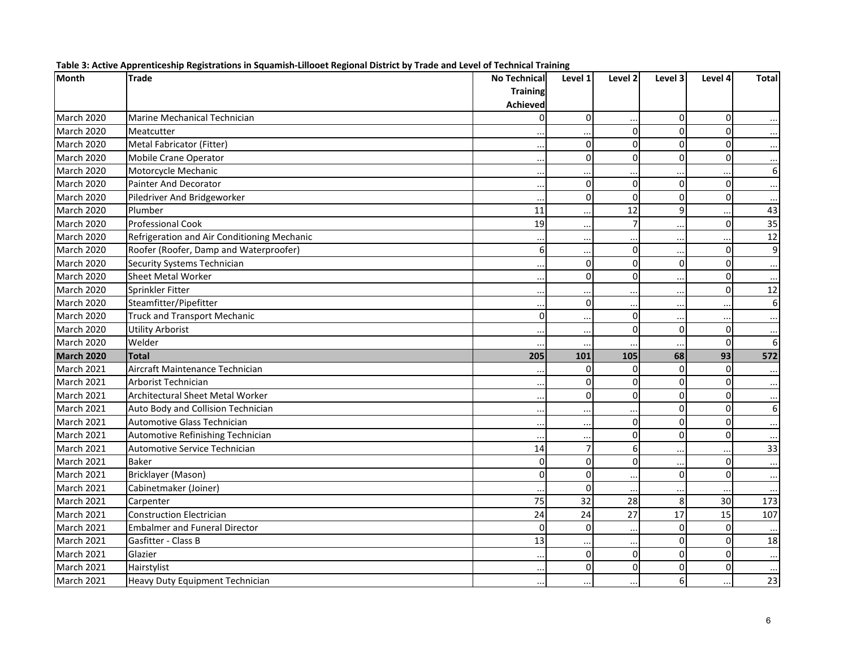| <b>Month</b>      | <b>Trade</b>                                | <b>No Technical</b> | Level 1              | Level 2              | Level 3     | Level 4        | <b>Total</b>     |
|-------------------|---------------------------------------------|---------------------|----------------------|----------------------|-------------|----------------|------------------|
|                   |                                             | <b>Training</b>     |                      |                      |             |                |                  |
|                   |                                             | <b>Achieved</b>     |                      |                      |             |                |                  |
| March 2020        | Marine Mechanical Technician                | $\mathbf 0$         | $\Omega$             | $\ddot{\phantom{a}}$ | $\pmb{0}$   | $\overline{0}$ |                  |
| March 2020        | Meatcutter                                  |                     |                      | $\Omega$             | $\Omega$    | $\Omega$       |                  |
| March 2020        | Metal Fabricator (Fitter)                   |                     | $\Omega$             | $\Omega$             | 0           | $\Omega$       | $\cdots$         |
| March 2020        | Mobile Crane Operator                       | $\ddotsc$           | $\Omega$             | $\Omega$             | $\mathbf 0$ | $\Omega$       | $\cdots$         |
| March 2020        | Motorcycle Mechanic                         |                     |                      |                      |             |                | 6                |
| March 2020        | Painter And Decorator                       |                     | $\Omega$             | $\Omega$             | 0           | $\Omega$       | $\ddotsc$        |
| March 2020        | Piledriver And Bridgeworker                 |                     | $\Omega$             | $\Omega$             | $\mathbf 0$ | $\Omega$       |                  |
| March 2020        | Plumber                                     | 11                  |                      | 12                   | 9           |                | 43               |
| March 2020        | <b>Professional Cook</b>                    | 19                  | $\cdot$ $\cdot$      | $\overline{7}$       | $\cdots$    | $\Omega$       | 35               |
| March 2020        | Refrigeration and Air Conditioning Mechanic |                     | $\ddotsc$            |                      | $\cdots$    |                | 12               |
| March 2020        | Roofer (Roofer, Damp and Waterproofer)      | 6                   |                      | $\Omega$             |             | $\Omega$       | 9                |
| March 2020        | Security Systems Technician                 | $\ddotsc$           | 0                    | $\Omega$             | $\pmb{0}$   | $\mathbf 0$    |                  |
| March 2020        | <b>Sheet Metal Worker</b>                   |                     | $\Omega$             | $\Omega$             | $\ddotsc$   | $\overline{0}$ |                  |
| March 2020        | Sprinkler Fitter                            |                     |                      |                      | $\ddotsc$   | $\Omega$       | 12               |
| March 2020        | Steamfitter/Pipefitter                      | $\ddotsc$           | $\mathbf 0$          | $\ddotsc$            | $\cdots$    |                | $\boldsymbol{6}$ |
| March 2020        | <b>Truck and Transport Mechanic</b>         | $\mathbf 0$         |                      | $\Omega$             | $\ddots$    |                | $\cdots$         |
| March 2020        | <b>Utility Arborist</b>                     |                     |                      | $\Omega$             | 0           | $\Omega$       | $\ddotsc$        |
| March 2020        | Welder                                      |                     | $\ddot{\phantom{a}}$ |                      | $\ddotsc$   | $\mathbf 0$    | $\boldsymbol{6}$ |
| <b>March 2020</b> | <b>Total</b>                                | 205                 | 101                  | 105                  | 68          | 93             | 572              |
| March 2021        | Aircraft Maintenance Technician             |                     | $\Omega$             | $\Omega$             | $\mathbf 0$ | $\Omega$       |                  |
| March 2021        | Arborist Technician                         | $\cdots$            | $\mathbf 0$          | $\Omega$             | $\mathbf 0$ | $\mathbf 0$    | $\cdots$         |
| March 2021        | Architectural Sheet Metal Worker            |                     | $\Omega$             | $\Omega$             | 0           | $\Omega$       | $\ddotsc$        |
| March 2021        | Auto Body and Collision Technician          |                     |                      |                      | $\Omega$    | $\Omega$       | $\boldsymbol{6}$ |
| March 2021        | Automotive Glass Technician                 |                     | $\ddot{\phantom{a}}$ | $\Omega$             | $\mathbf 0$ | $\mathbf 0$    |                  |
| March 2021        | Automotive Refinishing Technician           |                     |                      | 0                    | $\Omega$    | $\Omega$       |                  |
| March 2021        | <b>Automotive Service Technician</b>        | 14                  | $\overline{7}$       | 6                    | $\ddotsc$   |                | 33               |
| March 2021        | <b>Baker</b>                                | $\mathbf 0$         | $\Omega$             | $\Omega$             | $\ldots$    | $\mathbf 0$    | $\cdots$         |
| March 2021        | Bricklayer (Mason)                          | $\Omega$            | $\Omega$             |                      | 0           | $\Omega$       |                  |
| March 2021        | Cabinetmaker (Joiner)                       |                     | $\Omega$             | $\ddotsc$            | $\ddotsc$   |                |                  |
| March 2021        | Carpenter                                   | 75                  | 32                   | 28                   | 8           | 30             | 173              |
| March 2021        | <b>Construction Electrician</b>             | 24                  | 24                   | 27                   | 17          | 15             | 107              |
| March 2021        | <b>Embalmer and Funeral Director</b>        | $\mathbf 0$         | $\Omega$             | $\ddot{\phantom{a}}$ | $\pmb{0}$   | $\Omega$       |                  |
| March 2021        | Gasfitter - Class B                         | 13                  |                      |                      | $\mathbf 0$ | $\Omega$       | 18               |
| March 2021        | Glazier                                     |                     | $\Omega$             | $\Omega$             | $\Omega$    | $\Omega$       |                  |
| March 2021        | Hairstylist                                 |                     | $\Omega$             | $\Omega$             | 0           | $\mathbf{0}$   |                  |
| March 2021        | Heavy Duty Equipment Technician             |                     |                      | $\ddot{\phantom{a}}$ | 6           |                | 23               |

|  |  | Table 3: Active Apprenticeship Registrations in Squamish-Lillooet Regional District by Trade and Level of Technical Training |
|--|--|------------------------------------------------------------------------------------------------------------------------------|
|  |  |                                                                                                                              |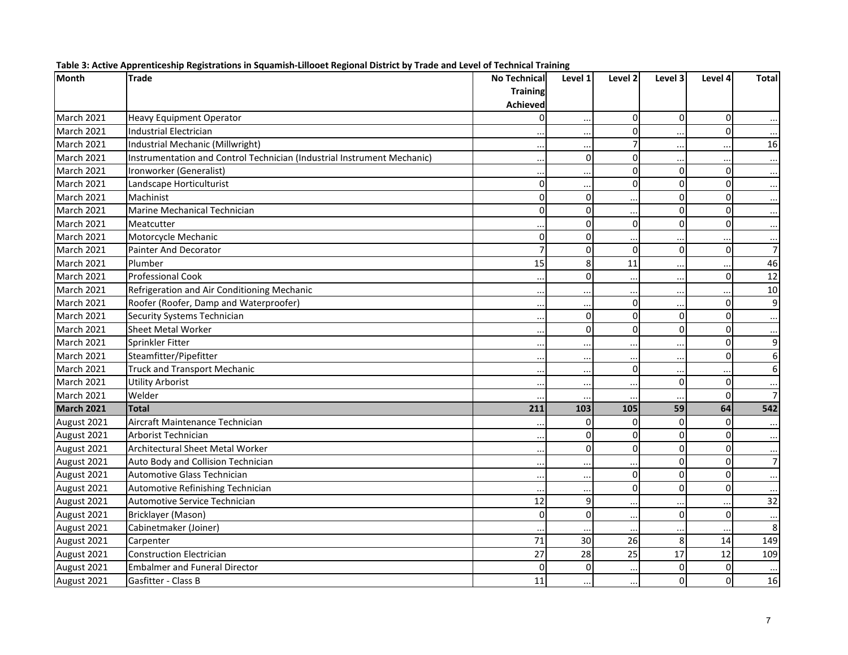| <b>Month</b>      | <b>Trade</b>                                                            | <b>No Technical</b> | Level 1              | Level 2              | Level 3         | Level 4     | <b>Total</b>   |
|-------------------|-------------------------------------------------------------------------|---------------------|----------------------|----------------------|-----------------|-------------|----------------|
|                   |                                                                         | <b>Training</b>     |                      |                      |                 |             |                |
|                   |                                                                         | <b>Achieved</b>     |                      |                      |                 |             |                |
| March 2021        | <b>Heavy Equipment Operator</b>                                         | 0                   | $\ddotsc$            | 0                    | $\Omega$        | $\mathbf 0$ |                |
| March 2021        | Industrial Electrician                                                  |                     | $\ddot{\phantom{a}}$ | $\Omega$             |                 | $\Omega$    |                |
| <b>March 2021</b> | Industrial Mechanic (Millwright)                                        |                     | $\ddot{\phantom{a}}$ | $\overline{7}$       | $\ddotsc$       |             | 16             |
| March 2021        | Instrumentation and Control Technician (Industrial Instrument Mechanic) |                     | $\Omega$             | $\mathbf 0$          | $\ddots$        |             |                |
| March 2021        | Ironworker (Generalist)                                                 |                     |                      | $\Omega$             | $\Omega$        | $\Omega$    |                |
| March 2021        | Landscape Horticulturist                                                | 0                   |                      | $\mathbf{0}$         | $\overline{0}$  | $\Omega$    |                |
| March 2021        | Machinist                                                               | $\mathbf 0$         | $\Omega$             |                      | $\Omega$        | $\Omega$    |                |
| March 2021        | Marine Mechanical Technician                                            | 0                   | $\Omega$             |                      | $\Omega$        | $\Omega$    |                |
| March 2021        | Meatcutter                                                              |                     | $\Omega$             | $\mathbf 0$          | $\Omega$        | $\Omega$    |                |
| March 2021        | Motorcycle Mechanic                                                     | $\mathbf 0$         | $\Omega$             |                      |                 |             |                |
| March 2021        | <b>Painter And Decorator</b>                                            | $\overline{7}$      | $\Omega$             | $\Omega$             | $\overline{0}$  | 0           | $\overline{7}$ |
| March 2021        | Plumber                                                                 | 15                  | 8                    | 11                   | $\ddotsc$       |             | 46             |
| March 2021        | <b>Professional Cook</b>                                                |                     | $\Omega$             |                      | $\cdots$        | $\Omega$    | 12             |
| March 2021        | Refrigeration and Air Conditioning Mechanic                             |                     | $\ddot{\phantom{a}}$ |                      | $\ddotsc$       |             | 10             |
| March 2021        | Roofer (Roofer, Damp and Waterproofer)                                  |                     | $\ddot{\phantom{a}}$ | $\mathbf 0$          | $\ddotsc$       | $\Omega$    | 9              |
| March 2021        | Security Systems Technician                                             |                     | $\Omega$             | $\mathbf 0$          | $\overline{0}$  | $\Omega$    |                |
| March 2021        | <b>Sheet Metal Worker</b>                                               |                     | $\Omega$             | $\Omega$             | $\Omega$        | $\Omega$    |                |
| March 2021        | Sprinkler Fitter                                                        |                     | $\ddot{\phantom{a}}$ |                      | $\ddotsc$       | $\Omega$    | 9              |
| March 2021        | Steamfitter/Pipefitter                                                  |                     | $\ddot{\phantom{a}}$ |                      | $\ddotsc$       | $\Omega$    | $\overline{6}$ |
| <b>March 2021</b> | <b>Truck and Transport Mechanic</b>                                     | $\ddotsc$           | $\ddotsc$            | $\mathbf 0$          | $\cdots$        |             | 6              |
| March 2021        | <b>Utility Arborist</b>                                                 |                     | $\ddot{\phantom{0}}$ |                      | $\Omega$        | $\Omega$    |                |
| <b>March 2021</b> | Welder                                                                  |                     |                      |                      |                 | $\Omega$    | $\overline{7}$ |
| <b>March 2021</b> | <b>Total</b>                                                            | 211                 | 103                  | 105                  | 59              | 64          | 542            |
| August 2021       | Aircraft Maintenance Technician                                         |                     | $\Omega$             | $\Omega$             | $\Omega$        | $\Omega$    |                |
| August 2021       | <b>Arborist Technician</b>                                              |                     | $\Omega$             | $\Omega$             | $\Omega$        | $\Omega$    |                |
| August 2021       | <b>Architectural Sheet Metal Worker</b>                                 |                     | $\Omega$             | $\mathbf 0$          | $\Omega$        | $\Omega$    | $\cdots$       |
| August 2021       | Auto Body and Collision Technician                                      |                     |                      |                      | $\overline{0}$  | $\Omega$    | $\overline{7}$ |
| August 2021       | Automotive Glass Technician                                             |                     | $\ddot{\phantom{0}}$ | $\mathbf 0$          | $\Omega$        | $\Omega$    |                |
| August 2021       | Automotive Refinishing Technician                                       |                     | $\ddot{\phantom{0}}$ | $\mathbf 0$          | $\Omega$        | $\Omega$    |                |
| August 2021       | Automotive Service Technician                                           | 12                  | $\overline{9}$       |                      |                 |             | 32             |
| August 2021       | Bricklayer (Mason)                                                      | $\mathbf 0$         | $\Omega$             | $\ddotsc$            | $\Omega$        | $\Omega$    |                |
| August 2021       | Cabinetmaker (Joiner)                                                   |                     |                      | $\ddot{\phantom{a}}$ | $\ddotsc$       |             | 8              |
| August 2021       | Carpenter                                                               | 71                  | 30                   | 26                   | 8               | 14          | 149            |
| August 2021       | <b>Construction Electrician</b>                                         | 27                  | 28                   | 25                   | $\overline{17}$ | 12          | 109            |
| August 2021       | <b>Embalmer and Funeral Director</b>                                    | $\Omega$            | $\Omega$             |                      | 0               | $\Omega$    |                |
| August 2021       | Gasfitter - Class B                                                     | 11                  |                      |                      | $\Omega$        | $\Omega$    | 16             |

| Table 3: Active Apprenticeship Registrations in Squamish-Lillooet Regional District by Trade and Level of Technical Training |  |  |  |
|------------------------------------------------------------------------------------------------------------------------------|--|--|--|
|                                                                                                                              |  |  |  |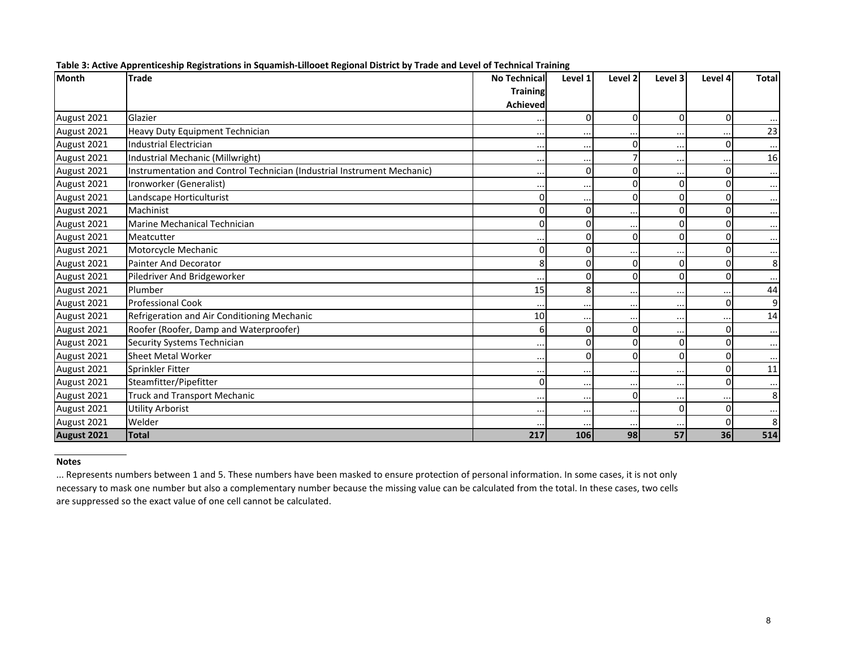| Month       | <b>Trade</b>                                                            | <b>No Technical</b> | Level 1       | Level <sub>2</sub> | Level 3        | Level 4  | <b>Total</b> |
|-------------|-------------------------------------------------------------------------|---------------------|---------------|--------------------|----------------|----------|--------------|
|             |                                                                         | <b>Training</b>     |               |                    |                |          |              |
|             |                                                                         | <b>Achieved</b>     |               |                    |                |          |              |
| August 2021 | Glazier                                                                 |                     | <sup>0</sup>  | $\Omega$           | $\Omega$       | $\Omega$ |              |
| August 2021 | Heavy Duty Equipment Technician                                         | $\ddotsc$           |               |                    | $\cdots$       |          | 23           |
| August 2021 | <b>Industrial Electrician</b>                                           |                     | $\cdot$ .     | $\Omega$           | $\ddots$       |          |              |
| August 2021 | Industrial Mechanic (Millwright)                                        | $\cdot \cdot$       | $\cdot \cdot$ |                    | $\cdots$       |          | 16           |
| August 2021 | Instrumentation and Control Technician (Industrial Instrument Mechanic) | $\cdots$            | U             | O                  | $\cdots$       |          |              |
| August 2021 | Ironworker (Generalist)                                                 | $\cdots$            | $\cdot$ .     | $\Omega$           | $\Omega$       |          |              |
| August 2021 | Landscape Horticulturist                                                | 0                   |               | $\Omega$           | 0              |          |              |
| August 2021 | Machinist                                                               | $\Omega$            |               |                    | 0              |          | $\cdots$     |
| August 2021 | Marine Mechanical Technician                                            | $\Omega$            |               |                    | 0              |          |              |
| August 2021 | Meatcutter                                                              |                     |               | $\Omega$           | $\Omega$       |          | $\cdots$     |
| August 2021 | Motorcycle Mechanic                                                     | $\Omega$            |               |                    | $\cdots$       |          | $\cdots$     |
| August 2021 | Painter And Decorator                                                   | 8                   |               | $\Omega$           | 0              |          | 8            |
| August 2021 | Piledriver And Bridgeworker                                             |                     |               | $\Omega$           | $\Omega$       |          |              |
| August 2021 | Plumber                                                                 | 15                  | 8             | $\cdot$            | $\cdots$       |          | 44           |
| August 2021 | <b>Professional Cook</b>                                                |                     | $\cdot$ .     |                    | $\cdots$       | U        | 9            |
| August 2021 | Refrigeration and Air Conditioning Mechanic                             | 10                  |               |                    | $\cdots$       |          | 14           |
| August 2021 | Roofer (Roofer, Damp and Waterproofer)                                  | 6                   |               | $\Omega$           | $\cdots$       |          | $\cdots$     |
| August 2021 | Security Systems Technician                                             | $\cdots$            |               | O                  | 0              |          |              |
| August 2021 | <b>Sheet Metal Worker</b>                                               |                     |               | $\Omega$           | $\Omega$       |          |              |
| August 2021 | Sprinkler Fitter                                                        | $\cdots$            | $\ddotsc$     | $\cdot$ .          | $\cdots$       |          | 11           |
| August 2021 | Steamfitter/Pipefitter                                                  | $\Omega$            | $\cdot \cdot$ |                    | $\cdots$       |          |              |
| August 2021 | <b>Truck and Transport Mechanic</b>                                     |                     | $\cdot \cdot$ | $\mathbf 0$        | $\ddotsc$      |          | 8            |
| August 2021 | <b>Utility Arborist</b>                                                 | $\cdots$            | $\ddotsc$     | $\ddotsc$          | $\overline{0}$ | $\Omega$ |              |
| August 2021 | Welder                                                                  |                     |               |                    | $\cdot$        |          | 8            |
| August 2021 | <b>Total</b>                                                            | 217                 | 106           | 98                 | 57             | 36       | 514          |

|  | Table 3: Active Apprenticeship Registrations in Squamish-Lillooet Regional District by Trade and Level of Technical Training |  |  |
|--|------------------------------------------------------------------------------------------------------------------------------|--|--|
|  |                                                                                                                              |  |  |

#### **Notes**

... Represents numbers between 1 and 5. These numbers have been masked to ensure protection of personal information. In some cases, it is not only necessary to mask one number but also <sup>a</sup> complementary number because the missing value can be calculated from the total. In these cases, two cells are suppressed so the exact value of one cell cannot be calculated.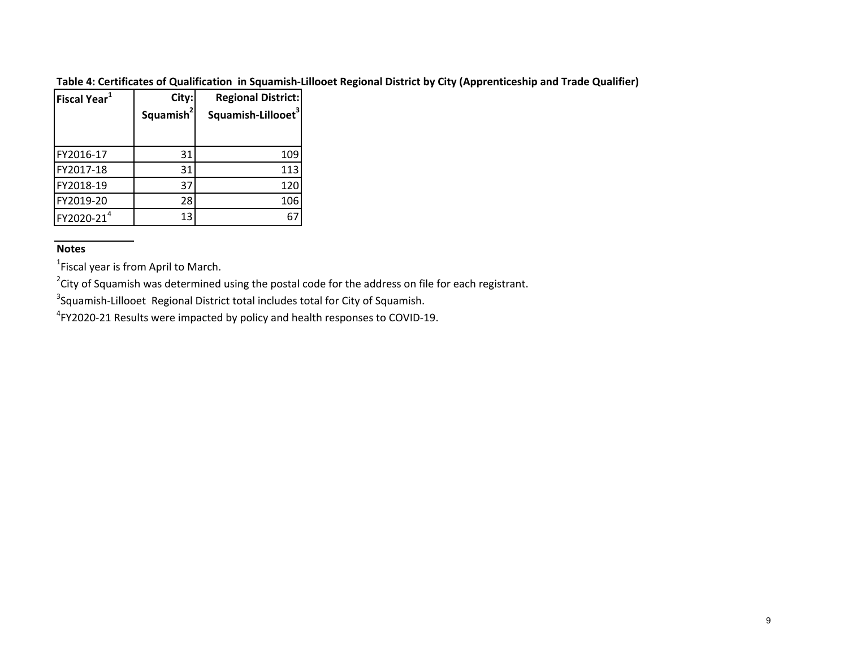### Table 4: Certificates of Qualification in Squamish-Lillooet Regional District by City (Apprenticeship and Trade Qualifier)

| Fiscal Year $^1$       | City:                 | <b>Regional District:</b>      |  |  |
|------------------------|-----------------------|--------------------------------|--|--|
|                        | Squamish <sup>2</sup> | Squamish-Lillooet <sup>3</sup> |  |  |
|                        |                       |                                |  |  |
| FY2016-17              | 31                    | 109                            |  |  |
| FY2017-18              | 31                    | 113                            |  |  |
| FY2018-19              | 37                    | 120                            |  |  |
| FY2019-20              | 28                    | 106                            |  |  |
| FY2020-21 <sup>4</sup> | 13                    |                                |  |  |

# **Notes**

 $^{1}$ Fiscal year is from April to March.

 $2$ City of Squamish was determined using the postal code for the address on file for each registrant.

<sup>3</sup>Squamish-Lillooet Regional District total includes total for City of Squamish.

 $^{4}$ FY2020-21 Results were impacted by policy and health responses to COVID-19.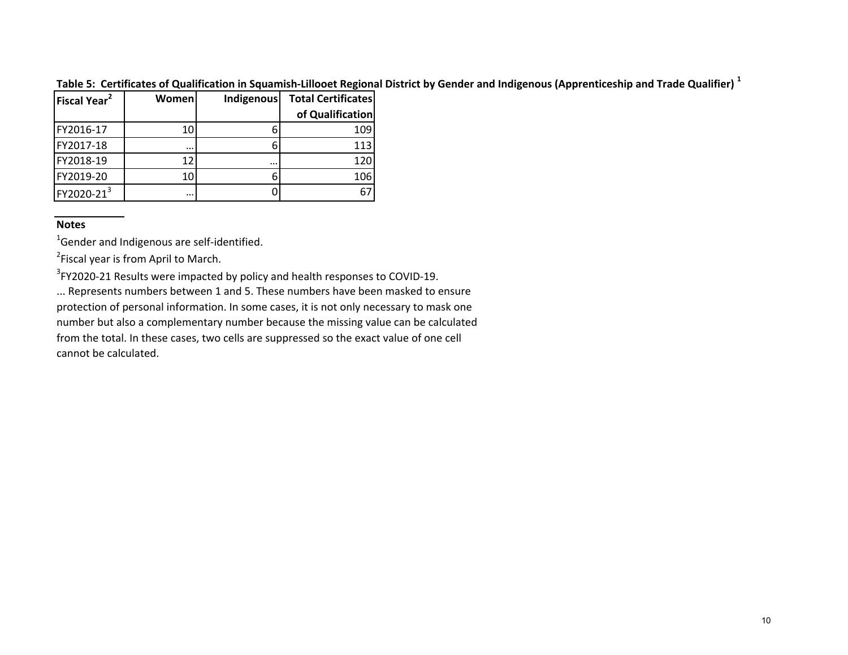Table 5: Certificates of Qualification in Squamish-Lillooet Regional District by Gender and Indigenous (Apprenticeship and Trade Qualifier)  $^1$ 

| <b>Fiscal Year<sup>2</sup></b> | Women    | Indigenous | <b>Total Certificates</b> |
|--------------------------------|----------|------------|---------------------------|
|                                |          |            | of Qualification          |
| FY2016-17                      | 10       |            | 109                       |
| FY2017-18                      | $\cdots$ |            | 113                       |
| FY2018-19                      | 12       |            | 120                       |
| FY2019-20                      | 10       |            | 106                       |
| FY2020-213                     |          |            |                           |

# **Notes**

 $^{1}$ Gender and Indigenous are self-identified.

<sup>2</sup>Fiscal year is from April to March.

 $3$ FY2020-21 Results were impacted by policy and health responses to COVID-19.

... Represents numbers between 1 and 5. These numbers have been masked to ensure protection of personal information. In some cases, it is not only necessary to mask one number but also <sup>a</sup> complementary number because the missing value can be calculated from the total. In these cases, two cells are suppressed so the exact value of one cell cannot be calculated.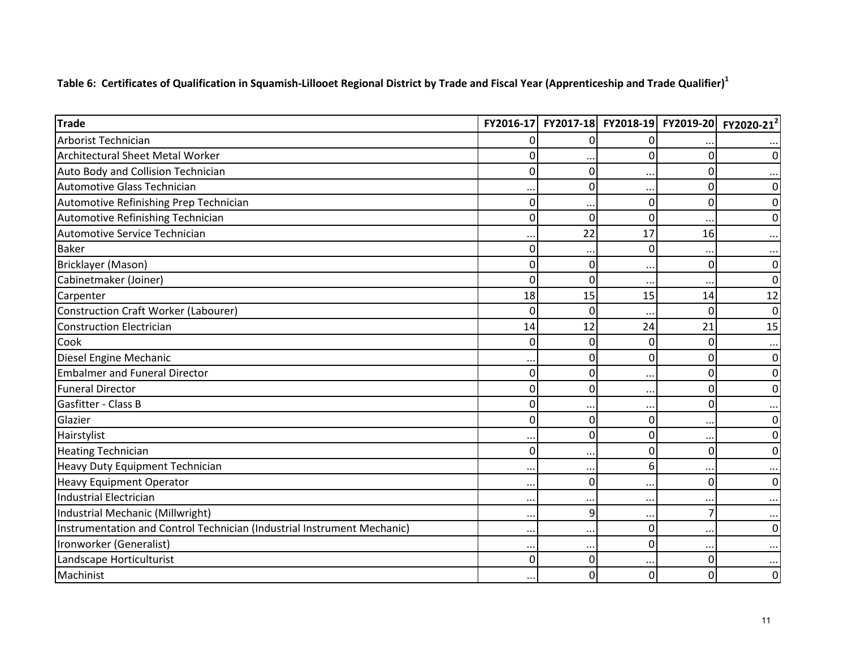Table 6: Certificates of Qualification in Squamish-Lillooet Regional District by Trade and Fiscal Year (Apprenticeship and Trade Qualifier)<sup>1</sup>

| <b>Trade</b>                                                            |          | FY2016-17 FY2017-18 FY2018-19 FY2019-20 |           |               | FY2020-21 <sup>2</sup> |
|-------------------------------------------------------------------------|----------|-----------------------------------------|-----------|---------------|------------------------|
| Arborist Technician                                                     | 0        | $\Omega$                                | O         |               |                        |
| <b>Architectural Sheet Metal Worker</b>                                 | 0        |                                         | O         | $\mathbf{0}$  | 0                      |
| Auto Body and Collision Technician                                      | 0        | $\Omega$                                |           | $\mathbf{0}$  |                        |
| Automotive Glass Technician                                             |          | 0                                       | $\cdot$ . | $\mathbf 0$   | 0                      |
| Automotive Refinishing Prep Technician                                  | 0        |                                         | 0         | $\mathbf{0}$  | 0                      |
| Automotive Refinishing Technician                                       | $\Omega$ | 0                                       | 0         |               | 0                      |
| Automotive Service Technician                                           |          | 22                                      | 17        | 16            |                        |
| <b>Baker</b>                                                            | 0        |                                         | 0         |               |                        |
| <b>Bricklayer (Mason)</b>                                               | O        | $\Omega$                                |           | $\mathbf 0$   | 0                      |
| Cabinetmaker (Joiner)                                                   | $\Omega$ | $\Omega$                                |           |               | 0                      |
| Carpenter                                                               | 18       | 15                                      | 15        | 14            | 12                     |
| Construction Craft Worker (Labourer)                                    | 0        | $\mathbf{0}$                            | $\ddotsc$ | $\mathbf{0}$  | 0                      |
| <b>Construction Electrician</b>                                         | 14       | 12                                      | 24        | 21            | 15                     |
| Cook                                                                    | 0        | 0                                       | 0         | $\mathbf{0}$  | $\ddotsc$              |
| Diesel Engine Mechanic                                                  |          | 0                                       | $\Omega$  | $\mathbf 0$   | 0                      |
| <b>Embalmer and Funeral Director</b>                                    | 0        | 0                                       |           | 0             | 0                      |
| <b>Funeral Director</b>                                                 | 0        | 0                                       | $\cdot$ . | $\mathbf 0$   | 0                      |
| Gasfitter - Class B                                                     | 0        |                                         |           | $\mathbf 0$   |                        |
| Glazier                                                                 | 0        | $\Omega$                                | 0         | $\ddotsc$     | 0                      |
| Hairstylist                                                             |          | 0                                       | 0         | $\cdot \cdot$ | 0                      |
| <b>Heating Technician</b>                                               | 0        |                                         | 0         | 0             | 0                      |
| Heavy Duty Equipment Technician                                         |          | $\cdot$ .                               | 6         |               |                        |
| <b>Heavy Equipment Operator</b>                                         |          | 0                                       |           | $\mathbf 0$   | 0                      |
| <b>Industrial Electrician</b>                                           |          |                                         |           |               |                        |
| Industrial Mechanic (Millwright)                                        |          | 9                                       | $\cdot$ . | 7             |                        |
| Instrumentation and Control Technician (Industrial Instrument Mechanic) |          | $\cdot$ .                               | 0         |               | 0                      |
| Ironworker (Generalist)                                                 |          |                                         | 0         |               |                        |
| Landscape Horticulturist                                                | 0        | 0                                       |           | 0             |                        |
| Machinist                                                               |          | 0                                       | 0         | 0             | 0                      |